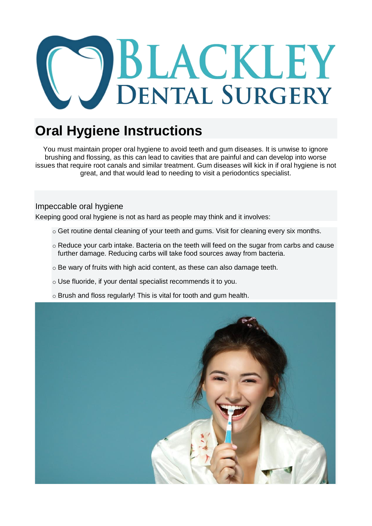

## **Oral Hygiene Instructions**

You must maintain proper oral hygiene to avoid teeth and gum diseases. It is unwise to ignore brushing and flossing, as this can lead to cavities that are painful and can develop into worse issues that require root canals and similar treatment. Gum diseases will kick in if oral hygiene is not great, and that would lead to needing to visit a periodontics specialist.

## Impeccable oral hygiene

Keeping good oral hygiene is not as hard as people may think and it involves:

- $\circ$  Get routine dental cleaning of your teeth and gums. Visit for cleaning every six months.
- o Reduce your carb intake. Bacteria on the teeth will feed on the sugar from carbs and cause further damage. Reducing carbs will take food sources away from bacteria.
- o Be wary of fruits with high acid content, as these can also damage teeth.
- o Use fluoride, if your dental specialist recommends it to you.
- o Brush and floss regularly! This is vital for tooth and gum health.